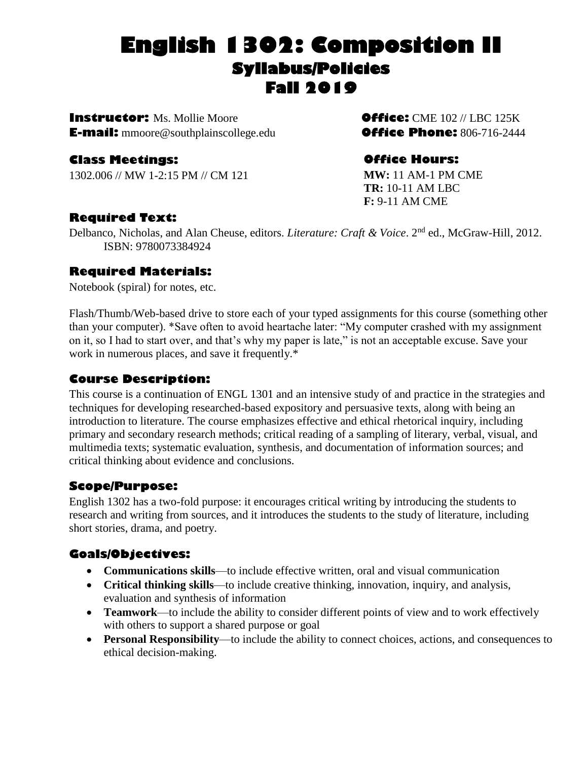# **English 1302: Composition II Syllabus/Policies Fall 2019**

**Instructor:** Ms. Mollie Moore**Office:** CME 102 // LBC 125K **E-mail:** mmoore@southplainscollege.edu**Office Phone:** 806-716-2444

# **Class Meetings:**

1302.006 // MW 1-2:15 PM // CM 121

# **Office Hours:**

**MW:** 11 AM-1 PM CME **TR:** 10-11 AM LBC **F:** 9-11 AM CME

# **Required Text:**

Delbanco, Nicholas, and Alan Cheuse, editors. *Literature: Craft & Voice*. 2nd ed., McGraw-Hill, 2012. ISBN: 9780073384924

# **Required Materials:**

Notebook (spiral) for notes, etc.

Flash/Thumb/Web-based drive to store each of your typed assignments for this course (something other than your computer). \*Save often to avoid heartache later: "My computer crashed with my assignment on it, so I had to start over, and that's why my paper is late," is not an acceptable excuse. Save your work in numerous places, and save it frequently.\*

# **Course Description:**

This course is a continuation of ENGL 1301 and an intensive study of and practice in the strategies and techniques for developing researched-based expository and persuasive texts, along with being an introduction to literature. The course emphasizes effective and ethical rhetorical inquiry, including primary and secondary research methods; critical reading of a sampling of literary, verbal, visual, and multimedia texts; systematic evaluation, synthesis, and documentation of information sources; and critical thinking about evidence and conclusions.

# **Scope/Purpose:**

English 1302 has a two-fold purpose: it encourages critical writing by introducing the students to research and writing from sources, and it introduces the students to the study of literature, including short stories, drama, and poetry.

# **Goals/Objectives:**

- **Communications skills**—to include effective written, oral and visual communication
- **Critical thinking skills**—to include creative thinking, innovation, inquiry, and analysis, evaluation and synthesis of information
- **Teamwork**—to include the ability to consider different points of view and to work effectively with others to support a shared purpose or goal
- **Personal Responsibility**—to include the ability to connect choices, actions, and consequences to ethical decision-making.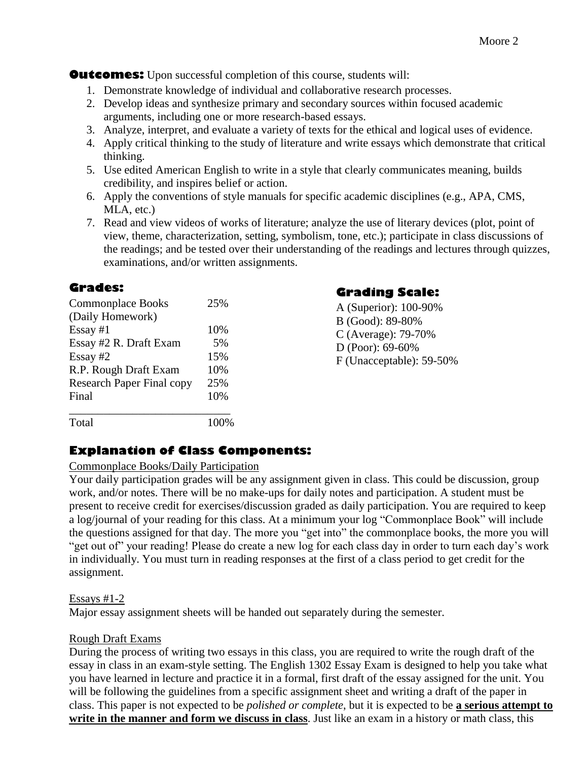**Outcomes:** Upon successful completion of this course, students will:

- 1. Demonstrate knowledge of individual and collaborative research processes.
- 2. Develop ideas and synthesize primary and secondary sources within focused academic arguments, including one or more research-based essays.
- 3. Analyze, interpret, and evaluate a variety of texts for the ethical and logical uses of evidence.
- 4. Apply critical thinking to the study of literature and write essays which demonstrate that critical thinking.
- 5. Use edited American English to write in a style that clearly communicates meaning, builds credibility, and inspires belief or action.
- 6. Apply the conventions of style manuals for specific academic disciplines (e.g., APA, CMS, MLA, etc.)
- 7. Read and view videos of works of literature; analyze the use of literary devices (plot, point of view, theme, characterization, setting, symbolism, tone, etc.); participate in class discussions of the readings; and be tested over their understanding of the readings and lectures through quizzes, examinations, and/or written assignments.

#### **Grades:**

| <b>Commonplace Books</b>         | 25% |
|----------------------------------|-----|
| (Daily Homework)                 |     |
| $Essay \#1$                      | 10% |
| Essay #2 R. Draft Exam           | 5%  |
| Essay #2                         | 15% |
| R.P. Rough Draft Exam            | 10% |
| <b>Research Paper Final copy</b> | 25% |
| Final                            | 10% |
| Total                            |     |

# **Grading Scale:**

A (Superior): 100-90% B (Good): 89-80% C (Average): 79-70% D (Poor): 69-60% F (Unacceptable): 59-50%

#### **Explanation of Class Components:**

#### Commonplace Books/Daily Participation

Your daily participation grades will be any assignment given in class. This could be discussion, group work, and/or notes. There will be no make-ups for daily notes and participation. A student must be present to receive credit for exercises/discussion graded as daily participation. You are required to keep a log/journal of your reading for this class. At a minimum your log "Commonplace Book" will include the questions assigned for that day. The more you "get into" the commonplace books, the more you will "get out of" your reading! Please do create a new log for each class day in order to turn each day's work in individually. You must turn in reading responses at the first of a class period to get credit for the assignment.

#### Essays #1-2

Major essay assignment sheets will be handed out separately during the semester.

#### Rough Draft Exams

During the process of writing two essays in this class, you are required to write the rough draft of the essay in class in an exam-style setting. The English 1302 Essay Exam is designed to help you take what you have learned in lecture and practice it in a formal, first draft of the essay assigned for the unit. You will be following the guidelines from a specific assignment sheet and writing a draft of the paper in class. This paper is not expected to be *polished or complete*, but it is expected to be **a serious attempt to write in the manner and form we discuss in class**. Just like an exam in a history or math class, this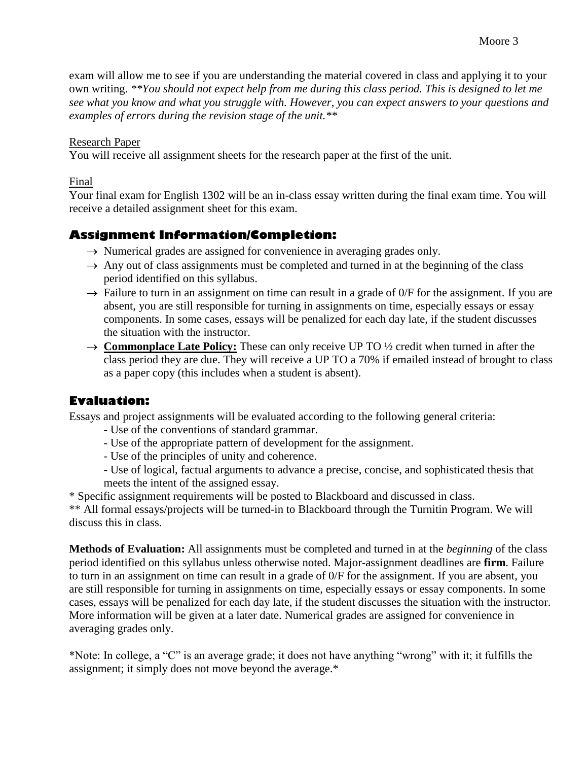exam will allow me to see if you are understanding the material covered in class and applying it to your own writing. *\*\*You should not expect help from me during this class period. This is designed to let me see what you know and what you struggle with. However, you can expect answers to your questions and examples of errors during the revision stage of the unit.\*\**

#### Research Paper

You will receive all assignment sheets for the research paper at the first of the unit.

Final

Your final exam for English 1302 will be an in-class essay written during the final exam time. You will receive a detailed assignment sheet for this exam.

# **Assignment Information/Completion:**

- $\rightarrow$  Numerical grades are assigned for convenience in averaging grades only.
- $\rightarrow$  Any out of class assignments must be completed and turned in at the beginning of the class period identified on this syllabus.
- $\rightarrow$  Failure to turn in an assignment on time can result in a grade of 0/F for the assignment. If you are absent, you are still responsible for turning in assignments on time, especially essays or essay components. In some cases, essays will be penalized for each day late, if the student discusses the situation with the instructor.
- → **Commonplace Late Policy:** These can only receive UP TO ½ credit when turned in after the class period they are due. They will receive a UP TO a 70% if emailed instead of brought to class as a paper copy (this includes when a student is absent).

# **Evaluation:**

Essays and project assignments will be evaluated according to the following general criteria:

- Use of the conventions of standard grammar.
- Use of the appropriate pattern of development for the assignment.
- Use of the principles of unity and coherence.
- Use of logical, factual arguments to advance a precise, concise, and sophisticated thesis that meets the intent of the assigned essay.

\* Specific assignment requirements will be posted to Blackboard and discussed in class.

\*\* All formal essays/projects will be turned-in to Blackboard through the Turnitin Program. We will discuss this in class.

**Methods of Evaluation:** All assignments must be completed and turned in at the *beginning* of the class period identified on this syllabus unless otherwise noted. Major-assignment deadlines are **firm**. Failure to turn in an assignment on time can result in a grade of 0/F for the assignment. If you are absent, you are still responsible for turning in assignments on time, especially essays or essay components. In some cases, essays will be penalized for each day late, if the student discusses the situation with the instructor. More information will be given at a later date. Numerical grades are assigned for convenience in averaging grades only.

\*Note: In college, a "C" is an average grade; it does not have anything "wrong" with it; it fulfills the assignment; it simply does not move beyond the average.\*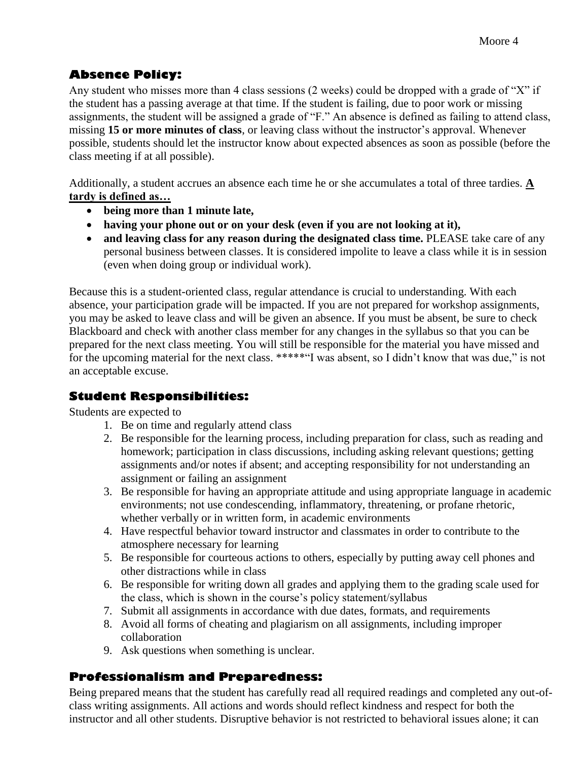# **Absence Policy:**

Any student who misses more than 4 class sessions (2 weeks) could be dropped with a grade of "X" if the student has a passing average at that time. If the student is failing, due to poor work or missing assignments, the student will be assigned a grade of "F." An absence is defined as failing to attend class, missing **15 or more minutes of class**, or leaving class without the instructor's approval. Whenever possible, students should let the instructor know about expected absences as soon as possible (before the class meeting if at all possible).

Additionally, a student accrues an absence each time he or she accumulates a total of three tardies. **A tardy is defined as…**

- **being more than 1 minute late,**
- **having your phone out or on your desk (even if you are not looking at it),**
- **and leaving class for any reason during the designated class time.** PLEASE take care of any personal business between classes. It is considered impolite to leave a class while it is in session (even when doing group or individual work).

Because this is a student-oriented class, regular attendance is crucial to understanding. With each absence, your participation grade will be impacted. If you are not prepared for workshop assignments, you may be asked to leave class and will be given an absence. If you must be absent, be sure to check Blackboard and check with another class member for any changes in the syllabus so that you can be prepared for the next class meeting. You will still be responsible for the material you have missed and for the upcoming material for the next class. \*\*\*\*\*"I was absent, so I didn't know that was due," is not an acceptable excuse.

#### **Student Responsibilities:**

Students are expected to

- 1. Be on time and regularly attend class
- 2. Be responsible for the learning process, including preparation for class, such as reading and homework; participation in class discussions, including asking relevant questions; getting assignments and/or notes if absent; and accepting responsibility for not understanding an assignment or failing an assignment
- 3. Be responsible for having an appropriate attitude and using appropriate language in academic environments; not use condescending, inflammatory, threatening, or profane rhetoric, whether verbally or in written form, in academic environments
- 4. Have respectful behavior toward instructor and classmates in order to contribute to the atmosphere necessary for learning
- 5. Be responsible for courteous actions to others, especially by putting away cell phones and other distractions while in class
- 6. Be responsible for writing down all grades and applying them to the grading scale used for the class, which is shown in the course's policy statement/syllabus
- 7. Submit all assignments in accordance with due dates, formats, and requirements
- 8. Avoid all forms of cheating and plagiarism on all assignments, including improper collaboration
- 9. Ask questions when something is unclear.

# **Professionalism and Preparedness:**

Being prepared means that the student has carefully read all required readings and completed any out-ofclass writing assignments. All actions and words should reflect kindness and respect for both the instructor and all other students. Disruptive behavior is not restricted to behavioral issues alone; it can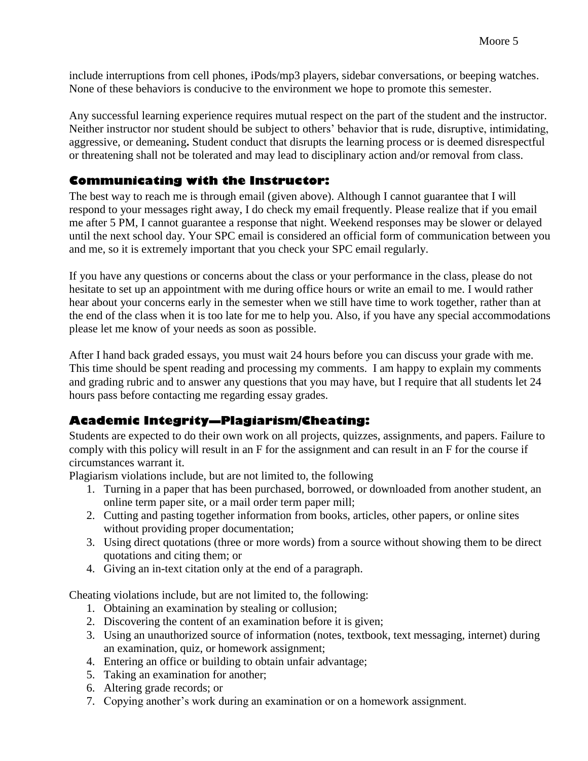include interruptions from cell phones, iPods/mp3 players, sidebar conversations, or beeping watches. None of these behaviors is conducive to the environment we hope to promote this semester.

Any successful learning experience requires mutual respect on the part of the student and the instructor. Neither instructor nor student should be subject to others' behavior that is rude, disruptive, intimidating, aggressive, or demeaning**.** Student conduct that disrupts the learning process or is deemed disrespectful or threatening shall not be tolerated and may lead to disciplinary action and/or removal from class.

#### **Communicating with the Instructor:**

The best way to reach me is through email (given above). Although I cannot guarantee that I will respond to your messages right away, I do check my email frequently. Please realize that if you email me after 5 PM, I cannot guarantee a response that night. Weekend responses may be slower or delayed until the next school day. Your SPC email is considered an official form of communication between you and me, so it is extremely important that you check your SPC email regularly.

If you have any questions or concerns about the class or your performance in the class, please do not hesitate to set up an appointment with me during office hours or write an email to me. I would rather hear about your concerns early in the semester when we still have time to work together, rather than at the end of the class when it is too late for me to help you. Also, if you have any special accommodations please let me know of your needs as soon as possible.

After I hand back graded essays, you must wait 24 hours before you can discuss your grade with me. This time should be spent reading and processing my comments. I am happy to explain my comments and grading rubric and to answer any questions that you may have, but I require that all students let 24 hours pass before contacting me regarding essay grades.

# **Academic Integrity—Plagiarism/Cheating:**

Students are expected to do their own work on all projects, quizzes, assignments, and papers. Failure to comply with this policy will result in an F for the assignment and can result in an F for the course if circumstances warrant it.

Plagiarism violations include, but are not limited to, the following

- 1. Turning in a paper that has been purchased, borrowed, or downloaded from another student, an online term paper site, or a mail order term paper mill;
- 2. Cutting and pasting together information from books, articles, other papers, or online sites without providing proper documentation;
- 3. Using direct quotations (three or more words) from a source without showing them to be direct quotations and citing them; or
- 4. Giving an in-text citation only at the end of a paragraph.

Cheating violations include, but are not limited to, the following:

- 1. Obtaining an examination by stealing or collusion;
- 2. Discovering the content of an examination before it is given;
- 3. Using an unauthorized source of information (notes, textbook, text messaging, internet) during an examination, quiz, or homework assignment;
- 4. Entering an office or building to obtain unfair advantage;
- 5. Taking an examination for another;
- 6. Altering grade records; or
- 7. Copying another's work during an examination or on a homework assignment.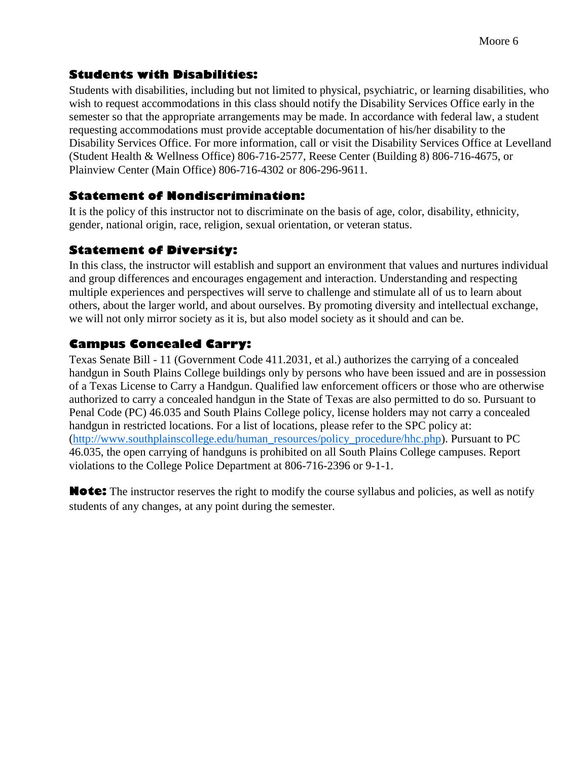# **Students with Disabilities:**

Students with disabilities, including but not limited to physical, psychiatric, or learning disabilities, who wish to request accommodations in this class should notify the Disability Services Office early in the semester so that the appropriate arrangements may be made. In accordance with federal law, a student requesting accommodations must provide acceptable documentation of his/her disability to the Disability Services Office. For more information, call or visit the Disability Services Office at Levelland (Student Health & Wellness Office) 806-716-2577, Reese Center (Building 8) 806-716-4675, or Plainview Center (Main Office) 806-716-4302 or 806-296-9611.

# **Statement of Nondiscrimination:**

It is the policy of this instructor not to discriminate on the basis of age, color, disability, ethnicity, gender, national origin, race, religion, sexual orientation, or veteran status.

# **Statement of Diversity:**

In this class, the instructor will establish and support an environment that values and nurtures individual and group differences and encourages engagement and interaction. Understanding and respecting multiple experiences and perspectives will serve to challenge and stimulate all of us to learn about others, about the larger world, and about ourselves. By promoting diversity and intellectual exchange, we will not only mirror society as it is, but also model society as it should and can be.

# **Campus Concealed Carry:**

Texas Senate Bill - 11 (Government Code 411.2031, et al.) authorizes the carrying of a concealed handgun in South Plains College buildings only by persons who have been issued and are in possession of a Texas License to Carry a Handgun. Qualified law enforcement officers or those who are otherwise authorized to carry a concealed handgun in the State of Texas are also permitted to do so. Pursuant to Penal Code (PC) 46.035 and South Plains College policy, license holders may not carry a concealed handgun in restricted locations. For a list of locations, please refer to the SPC policy at: [\(http://www.southplainscollege.edu/human\\_resources/policy\\_procedure/hhc.php\)](http://www.southplainscollege.edu/human_resources/policy_procedure/hhc.php). Pursuant to PC 46.035, the open carrying of handguns is prohibited on all South Plains College campuses. Report violations to the College Police Department at 806-716-2396 or 9-1-1.

**Note:** The instructor reserves the right to modify the course syllabus and policies, as well as notify students of any changes, at any point during the semester.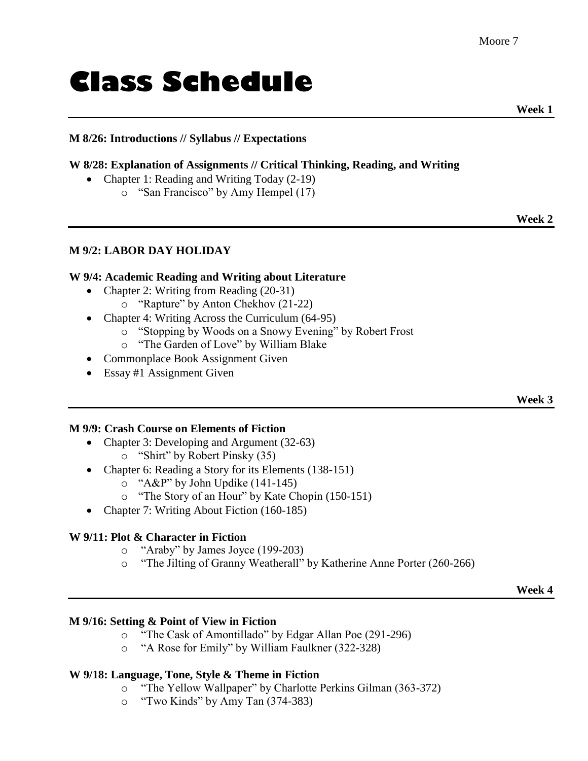# **Class Schedule**

 **Week 1**

#### **M 8/26: Introductions // Syllabus // Expectations**

#### **W 8/28: Explanation of Assignments // Critical Thinking, Reading, and Writing**

- Chapter 1: Reading and Writing Today (2-19)
	- o "San Francisco" by Amy Hempel (17)

**Week 2**

#### **M 9/2: LABOR DAY HOLIDAY**

#### **W 9/4: Academic Reading and Writing about Literature**

- Chapter 2: Writing from Reading (20-31)
	- o "Rapture" by Anton Chekhov (21-22)
- Chapter 4: Writing Across the Curriculum (64-95)
	- o "Stopping by Woods on a Snowy Evening" by Robert Frost
	- o "The Garden of Love" by William Blake
- Commonplace Book Assignment Given
- Essay #1 Assignment Given

**Week 3**

#### **M 9/9: Crash Course on Elements of Fiction**

- Chapter 3: Developing and Argument (32-63)
	- o "Shirt" by Robert Pinsky (35)
- Chapter 6: Reading a Story for its Elements (138-151)
	- o "A&P" by John Updike (141-145)
	- o "The Story of an Hour" by Kate Chopin (150-151)
- Chapter 7: Writing About Fiction (160-185)

#### **W 9/11: Plot & Character in Fiction**

- o "Araby" by James Joyce (199-203)
- o "The Jilting of Granny Weatherall" by Katherine Anne Porter (260-266)

**Week 4**

#### **M 9/16: Setting & Point of View in Fiction**

- o "The Cask of Amontillado" by Edgar Allan Poe (291-296)
- o "A Rose for Emily" by William Faulkner (322-328)

#### **W 9/18: Language, Tone, Style & Theme in Fiction**

- o "The Yellow Wallpaper" by Charlotte Perkins Gilman (363-372)
- o "Two Kinds" by Amy Tan (374-383)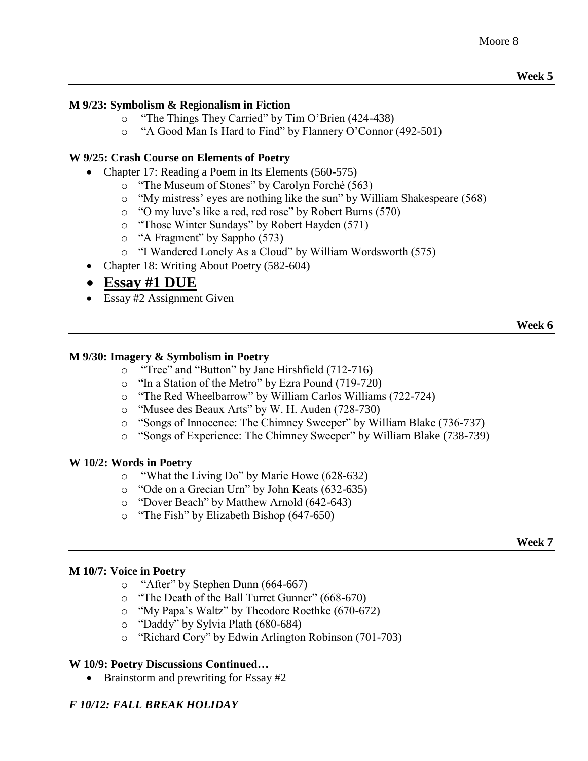#### **M 9/23: Symbolism & Regionalism in Fiction**

- o "The Things They Carried" by Tim O'Brien (424-438)
- o "A Good Man Is Hard to Find" by Flannery O'Connor (492-501)

#### **W 9/25: Crash Course on Elements of Poetry**

- Chapter 17: Reading a Poem in Its Elements (560-575)
	- o "The Museum of Stones" by Carolyn Forché (563)
	- o "My mistress' eyes are nothing like the sun" by William Shakespeare (568)
	- o "O my luve's like a red, red rose" by Robert Burns (570)
	- o "Those Winter Sundays" by Robert Hayden (571)
	- o "A Fragment" by Sappho (573)
	- o "I Wandered Lonely As a Cloud" by William Wordsworth (575)
- Chapter 18: Writing About Poetry (582-604)

# **Essay #1 DUE**

• Essay #2 Assignment Given

#### **Week 6**

#### **M 9/30: Imagery & Symbolism in Poetry**

- o "Tree" and "Button" by Jane Hirshfield (712-716)
- o "In a Station of the Metro" by Ezra Pound (719-720)
- o "The Red Wheelbarrow" by William Carlos Williams (722-724)
- o "Musee des Beaux Arts" by W. H. Auden (728-730)
- o "Songs of Innocence: The Chimney Sweeper" by William Blake (736-737)
- o "Songs of Experience: The Chimney Sweeper" by William Blake (738-739)

#### **W 10/2: Words in Poetry**

- o "What the Living Do" by Marie Howe (628-632)
- o "Ode on a Grecian Urn" by John Keats (632-635)
- o "Dover Beach" by Matthew Arnold (642-643)
- o "The Fish" by Elizabeth Bishop (647-650)

#### **Week 7**

#### **M 10/7: Voice in Poetry**

- o "After" by Stephen Dunn (664-667)
- o "The Death of the Ball Turret Gunner" (668-670)
- o "My Papa's Waltz" by Theodore Roethke (670-672)
- o "Daddy" by Sylvia Plath (680-684)
- o "Richard Cory" by Edwin Arlington Robinson (701-703)

#### **W 10/9: Poetry Discussions Continued…**

• Brainstorm and prewriting for Essay #2

# *F 10/12: FALL BREAK HOLIDAY*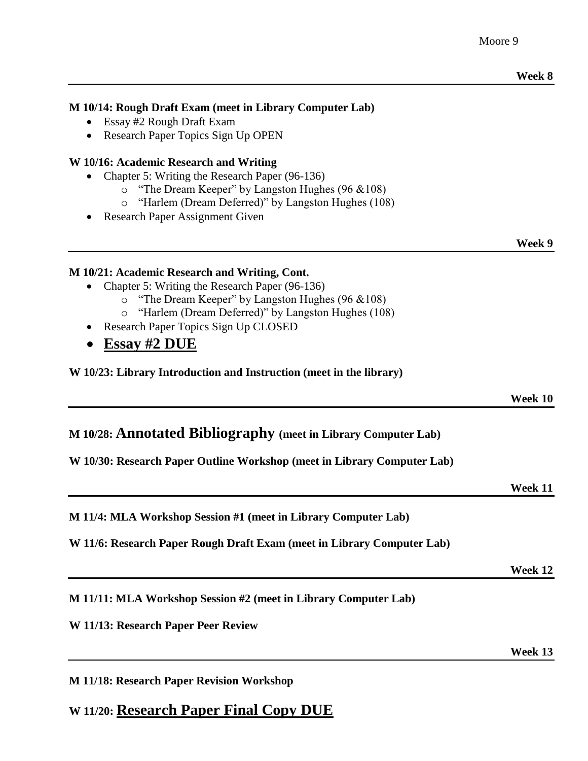#### **M 10/14: Rough Draft Exam (meet in Library Computer Lab)**

- Essay #2 Rough Draft Exam
- Research Paper Topics Sign Up OPEN

#### **W 10/16: Academic Research and Writing**

- Chapter 5: Writing the Research Paper (96-136)
	- o "The Dream Keeper" by Langston Hughes (96 &108)
	- o "Harlem (Dream Deferred)" by Langston Hughes (108)
- Research Paper Assignment Given

**Week 9**

#### **M 10/21: Academic Research and Writing, Cont.**

- Chapter 5: Writing the Research Paper (96-136)
	- o "The Dream Keeper" by Langston Hughes (96 &108)
	- o "Harlem (Dream Deferred)" by Langston Hughes (108)
- Research Paper Topics Sign Up CLOSED
- **Essay #2 DUE**

**W 10/23: Library Introduction and Instruction (meet in the library)**

**Week 10**

#### **M 10/28: Annotated Bibliography (meet in Library Computer Lab)**

**W 10/30: Research Paper Outline Workshop (meet in Library Computer Lab)**

**Week 11**

**M 11/4: MLA Workshop Session #1 (meet in Library Computer Lab)**

**W 11/6: Research Paper Rough Draft Exam (meet in Library Computer Lab)**

**Week 12**

**M 11/11: MLA Workshop Session #2 (meet in Library Computer Lab)**

**W 11/13: Research Paper Peer Review**

**Week 13**

**M 11/18: Research Paper Revision Workshop**

**W 11/20: Research Paper Final Copy DUE**